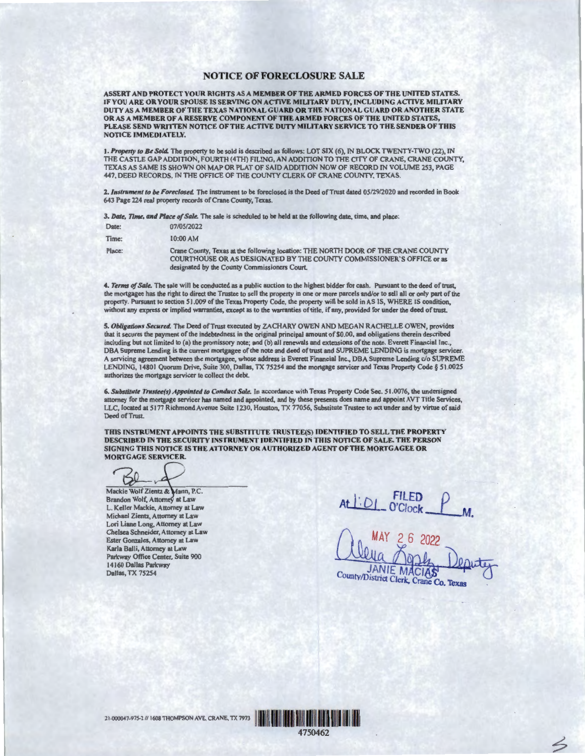## NOTICE OF FORECLOSURE SALE

ASSERT AND PROTECT YOUR RIGHTS AS A MEMBER OF THE ARMED FORCES OF THE UNITED STATES. IF YOU ARE OR YOUR SPOUSE IS SERVING ON ACTIVE MILITARY DUTY, INCLUDING ACTIVE MILITARY DUTY AS A MEMBER OF THE TEXAS NATIONAL GUARD OR THE NATIONAL GUARD OR ANOTHER STATE OR AS A MEMBER OF A RESERVE COMPONENT OF THE ARMED FORCES OF THE UNITED STATES, PLEASE SEND WRITTEN NOTICE OF THE ACTIVE DUTY MILITARY SERVICE TO THE SENDER OF THIS NOTICE IMMEDIATELY.

1. *Property to Be Sold.* The property to be sold is described as follows: LOT SIX (6), IN BLOCK TWENTY-TWO (22), IN THE CASTLE GAP ADDITION, FOURTH ( 4TH) FILING, AN ADDITION TO THE CITY OF CRANE, CRANE COUNTY, TEXAS AS SAME IS SHOWN ON MAP OR PLAT OF SAID ADDITION NOW OF RECORD IN VOLUME 253, PAGE 447, DEED RECORDS, IN THE OFFICE OF THE COUNTY CLERK OF CRANE COUNTY, TEXAS.

2. *Instrument to be Foreclosed.* The instrument to be foreclosed is the Deed of Trust dated 05/29/2020 and recorded in Book 643 Page 224 real property records of Crane County, Texas.

3. *Date, 7ime, and Place of Sale.* The sale is scheduled to be held at the following date, time, and place:

| Date:  | 07/05/2022                                                                                                                                                                                                  |
|--------|-------------------------------------------------------------------------------------------------------------------------------------------------------------------------------------------------------------|
| Time:  | $10:00$ AM                                                                                                                                                                                                  |
| Place: | Crane County, Texas at the following location: THE NORTH DOOR OF THE CRANE COUNTY<br>COURTHOUSE OR AS DESIGNATED BY THE COUNTY COMMISSIONER'S OFFICE or as<br>designated by the County Commissioners Court. |

4. *Terms of Sale*. The sale will be conducted as a public auction to the highest bidder for cash. Pursuant to the deed of trust, the mortgagee has the right to direct the Trustee to sell the property in one or more parcels and/or to sell all or only part of the property. Pursuant to section 51.009 of the Texas Property Code, the property will be sold in AS IS, WHERE IS condition, without any express or implied warranties, except as to the warranties of title, if any, provided for under the deed of trust.

S. *Obligations Secured.* The Deed of Trust executed by ZACHARY OWEN AND MEGAN RACHELLE OWEN, provides that it secures the payment of the indebtedness in the original principal amount of\$0.00, and obligations therein described including but not limited to (a) the promissory note; and (b) all renewals and extensions of the note. Everett Financial Inc., DBA Supreme Lending is the current mortgagee of the note and deed of trust and SUPREME LENDING is mortgage servicer. A servicing agreement between the mortgagee, whose address is Everett Financial Inc., OBA Supreme Lending c/o SUPREME LENDING, 14801 Quorum Drive, Suite 300, Dallas, TX 75254 and the mortgage servicer and Texas Property Code § 51.0025 authorizes the mortgage servicer to collect the debt

6. *Substitute Trustee(s) Appointed to Conduct Sale.* In accordance with Texas Property Code Sec. 51 .0076, the undersigned attomey for the mortgage servicer has named and appointed, and by these presents does name and appoint AVT Title Services,<br>LLC, located at 5177 Richmond Avenue Suite 1230, Houston, TX 77056, Substitute Trustee to act under Deed of Trust.

THIS INSTRUMENT APPOINTS THE SUBSTITUTE TRUSTEE(S) IDENTIFIED TO SELL THE PROPERTY DESCRIBED TN THE SECURITY INSTRUMENT IDENTIFIED IN THIS NOTICE OF SALE. THE PERSON SIGNING THIS NOTICE IS THE ATTORNEY OR AUTHORIZED AGENT OF THE MORTGAGEE OR MORTGAGE SERVICER.

 $60$ 

Mackie Wolf Zientz & Mann, P.C. Brandon Wolf, Attorney at Law L. Keller Mackie, Attorney at Law Michael Zientz, Attorney at Law Lori Liane Long, Attorney at Law Chelsea Schneider, Attorney at Law Ester Gonzales, Attorney at Law Karla Balli, Attorney at Law Parkway Office Center, Suite 900 14160 Dallas Parkway Dallas, TX 75254

At *l'. D/* \_ cf.b7~~ *P* ---M.

**MACIAS** County/District Clerk, Crane Co. Texas

4

<sup>21</sup> 975- 1/ 1608 THOMPSON ~ CRANE, TX 7973 <sup>1111</sup> 1111111~ Hll I ll **lllll** lllll llll I~